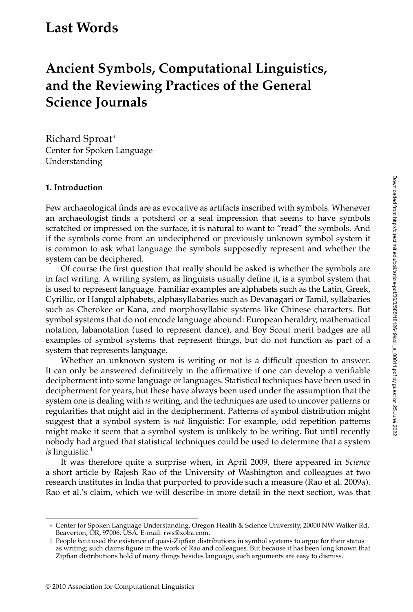# **Last Words**

# **Ancient Symbols, Computational Linguistics, and the Reviewing Practices of the General Science Journals**

Richard Sproat<sup>∗</sup> Center for Spoken Language Understanding

#### **1. Introduction**

Few archaeological finds are as evocative as artifacts inscribed with symbols. Whenever an archaeologist finds a potsherd or a seal impression that seems to have symbols scratched or impressed on the surface, it is natural to want to "read" the symbols. And if the symbols come from an undeciphered or previously unknown symbol system it is common to ask what language the symbols supposedly represent and whether the system can be deciphered.

Of course the first question that really should be asked is whether the symbols are in fact writing. A writing system, as linguists usually define it, is a symbol system that is used to represent language. Familiar examples are alphabets such as the Latin, Greek, Cyrillic, or Hangul alphabets, alphasyllabaries such as Devanagari or Tamil, syllabaries such as Cherokee or Kana, and morphosyllabic systems like Chinese characters. But symbol systems that do not encode language abound: European heraldry, mathematical notation, labanotation (used to represent dance), and Boy Scout merit badges are all examples of symbol systems that represent things, but do not function as part of a system that represents language.

Whether an unknown system is writing or not is a difficult question to answer. It can only be answered definitively in the affirmative if one can develop a verifiable decipherment into some language or languages. Statistical techniques have been used in decipherment for years, but these have always been used under the assumption that the system one is dealing with *is* writing, and the techniques are used to uncover patterns or regularities that might aid in the decipherment. Patterns of symbol distribution might suggest that a symbol system is *not* linguistic: For example, odd repetition patterns might make it seem that a symbol system is unlikely to be writing. But until recently nobody had argued that statistical techniques could be used to determine that a system *is* linguistic.<sup>1</sup>

It was therefore quite a surprise when, in April 2009, there appeared in *Science* a short article by Rajesh Rao of the University of Washington and colleagues at two research institutes in India that purported to provide such a measure (Rao et al. 2009a). Rao et al.'s claim, which we will describe in more detail in the next section, was that

<sup>∗</sup> Center for Spoken Language Understanding, Oregon Health & Science University, 20000 NW Walker Rd, Beaverton, OR, 97006, USA. E-mail: rws@xoba.com.

<sup>1</sup> People *have* used the existence of quasi-Zipfian distributions in symbol systems to argue for their status as writing; such claims figure in the work of Rao and colleagues. But because it has been long known that Zipfian distributions hold of many things besides language, such arguments are easy to dismiss.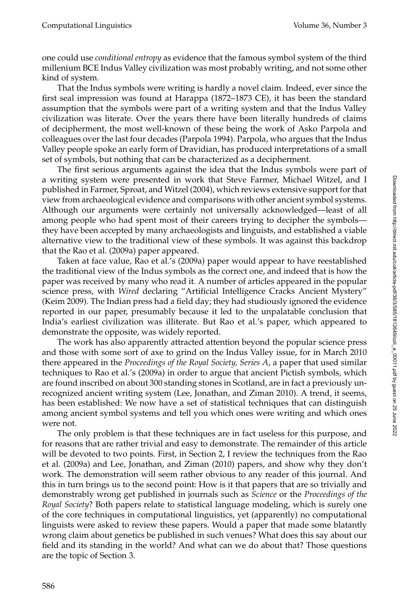one could use *conditional entropy* as evidence that the famous symbol system of the third millenium BCE Indus Valley civilization was most probably writing, and not some other kind of system.

That the Indus symbols were writing is hardly a novel claim. Indeed, ever since the first seal impression was found at Harappa (1872–1873 CE), it has been the standard assumption that the symbols were part of a writing system and that the Indus Valley civilization was literate. Over the years there have been literally hundreds of claims of decipherment, the most well-known of these being the work of Asko Parpola and colleagues over the last four decades (Parpola 1994). Parpola, who argues that the Indus Valley people spoke an early form of Dravidian, has produced interpretations of a small set of symbols, but nothing that can be characterized as a decipherment.

The first serious arguments against the idea that the Indus symbols were part of a writing system were presented in work that Steve Farmer, Michael Witzel, and I published in Farmer, Sproat, and Witzel (2004), which reviews extensive support for that view from archaeological evidence and comparisons with other ancient symbol systems. Although our arguments were certainly not universally acknowledged—least of all among people who had spent most of their careers trying to decipher the symbols they have been accepted by many archaeologists and linguists, and established a viable alternative view to the traditional view of these symbols. It was against this backdrop that the Rao et al. (2009a) paper appeared.

Taken at face value, Rao et al.'s (2009a) paper would appear to have reestablished the traditional view of the Indus symbols as the correct one, and indeed that is how the paper was received by many who read it. A number of articles appeared in the popular science press, with *Wired* declaring "Artificial Intelligence Cracks Ancient Mystery" (Keim 2009). The Indian press had a field day; they had studiously ignored the evidence reported in our paper, presumably because it led to the unpalatable conclusion that India's earliest civilization was illiterate. But Rao et al.'s paper, which appeared to demonstrate the opposite, was widely reported.

The work has also apparently attracted attention beyond the popular science press and those with some sort of axe to grind on the Indus Valley issue, for in March 2010 there appeared in the *Proceedings of the Royal Society, Series A*, a paper that used similar techniques to Rao et al.'s (2009a) in order to argue that ancient Pictish symbols, which are found inscribed on about 300 standing stones in Scotland, are in fact a previously unrecognized ancient writing system (Lee, Jonathan, and Ziman 2010). A trend, it seems, has been established: We now have a set of statistical techniques that can distinguish among ancient symbol systems and tell you which ones were writing and which ones were not.

The only problem is that these techniques are in fact useless for this purpose, and for reasons that are rather trivial and easy to demonstrate. The remainder of this article will be devoted to two points. First, in Section 2, I review the techniques from the Rao et al. (2009a) and Lee, Jonathan, and Ziman (2010) papers, and show why they don't work. The demonstration will seem rather obvious to any reader of this journal. And this in turn brings us to the second point: How is it that papers that are so trivially and demonstrably wrong get published in journals such as *Science* or the *Proceedings of the Royal Society*? Both papers relate to statistical language modeling, which is surely one of the core techniques in computational linguistics, yet (apparently) no computational linguists were asked to review these papers. Would a paper that made some blatantly wrong claim about genetics be published in such venues? What does this say about our field and its standing in the world? And what can we do about that? Those questions are the topic of Section 3.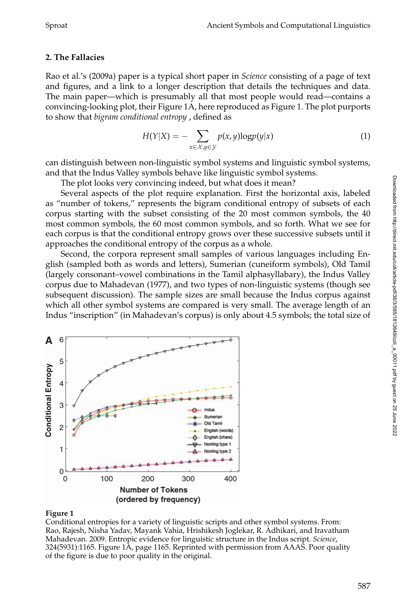## **2. The Fallacies**

Rao et al.'s (2009a) paper is a typical short paper in *Science* consisting of a page of text and figures, and a link to a longer description that details the techniques and data. The main paper—which is presumably all that most people would read—contains a convincing-looking plot, their Figure 1A, here reproduced as Figure 1. The plot purports to show that *bigram conditional entropy* , defined as

$$
H(Y|X) = -\sum_{x \in \mathcal{X}, y \in \mathcal{Y}} p(x, y) \log p(y|x)
$$
 (1)

can distinguish between non-linguistic symbol systems and linguistic symbol systems, and that the Indus Valley symbols behave like linguistic symbol systems.

The plot looks very convincing indeed, but what does it mean?

Several aspects of the plot require explanation. First the horizontal axis, labeled as "number of tokens," represents the bigram conditional entropy of subsets of each corpus starting with the subset consisting of the 20 most common symbols, the 40 most common symbols, the 60 most common symbols, and so forth. What we see for each corpus is that the conditional entropy grows over these successive subsets until it approaches the conditional entropy of the corpus as a whole.

Second, the corpora represent small samples of various languages including English (sampled both as words and letters), Sumerian (cuneiform symbols), Old Tamil (largely consonant–vowel combinations in the Tamil alphasyllabary), the Indus Valley corpus due to Mahadevan (1977), and two types of non-linguistic systems (though see subsequent discussion). The sample sizes are small because the Indus corpus against which all other symbol systems are compared is very small. The average length of an Indus "inscription" (in Mahadevan's corpus) is only about 4.5 symbols; the total size of



## **Figure 1**

Conditional entropies for a variety of linguistic scripts and other symbol systems. From: Rao, Rajesh, Nisha Yadav, Mayank Vahia, Hrishikesh Joglekar, R. Adhikari, and Iravatham Mahadevan. 2009. Entropic evidence for linguistic structure in the Indus script. *Science*, 324(5931):1165. Figure 1A, page 1165. Reprinted with permission from AAAS. Poor quality of the figure is due to poor quality in the original.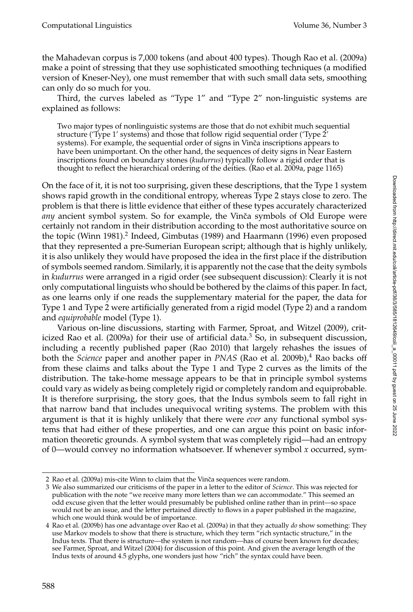the Mahadevan corpus is 7,000 tokens (and about 400 types). Though Rao et al. (2009a) make a point of stressing that they use sophisticated smoothing techniques (a modified version of Kneser-Ney), one must remember that with such small data sets, smoothing can only do so much for you.

Third, the curves labeled as "Type 1" and "Type 2" non-linguistic systems are explained as follows:

Two major types of nonlinguistic systems are those that do not exhibit much sequential structure ('Type 1' systems) and those that follow rigid sequential order ('Type 2' systems). For example, the sequential order of signs in Vinca inscriptions appears to have been unimportant. On the other hand, the sequences of deity signs in Near Eastern inscriptions found on boundary stones (*kudurrus*) typically follow a rigid order that is thought to reflect the hierarchical ordering of the deities. (Rao et al. 2009a, page 1165)

On the face of it, it is not too surprising, given these descriptions, that the Type 1 system shows rapid growth in the conditional entropy, whereas Type 2 stays close to zero. The problem is that there is little evidence that either of these types accurately characterized *any* ancient symbol system. So for example, the Vinča symbols of Old Europe were certainly not random in their distribution according to the most authoritative source on the topic (Winn 1981).<sup>2</sup> Indeed, Gimbutas (1989) and Haarmann (1996) even proposed that they represented a pre-Sumerian European script; although that is highly unlikely, it is also unlikely they would have proposed the idea in the first place if the distribution of symbols seemed random. Similarly, it is apparently not the case that the deity symbols in *kudurrus* were arranged in a rigid order (see subsequent discussion): Clearly it is not only computational linguists who should be bothered by the claims of this paper. In fact, as one learns only if one reads the supplementary material for the paper, the data for Type 1 and Type 2 were artificially generated from a rigid model (Type 2) and a random and *equiprobable* model (Type 1).

Various on-line discussions, starting with Farmer, Sproat, and Witzel (2009), criticized Rao et al. (2009a) for their use of artificial data. $3$  So, in subsequent discussion, including a recently published paper (Rao 2010) that largely rehashes the issues of both the *Science* paper and another paper in *PNAS* (Rao et al. 2009b),<sup>4</sup> Rao backs off from these claims and talks about the Type 1 and Type 2 curves as the limits of the distribution. The take-home message appears to be that in principle symbol systems could vary as widely as being completely rigid or completely random and equiprobable. It is therefore surprising, the story goes, that the Indus symbols seem to fall right in that narrow band that includes unequivocal writing systems. The problem with this argument is that it is highly unlikely that there were *ever* any functional symbol systems that had either of these properties, and one can argue this point on basic information theoretic grounds. A symbol system that was completely rigid—had an entropy of 0—would convey no information whatsoever. If whenever symbol *x* occurred, sym-

<sup>2</sup> Rao et al. (2009a) mis-cite Winn to claim that the Vinča sequences were random.

<sup>3</sup> We also summarized our criticisms of the paper in a letter to the editor of *Science*. This was rejected for publication with the note "we receive many more letters than we can accommodate." This seemed an odd excuse given that the letter would presumably be published online rather than in print—so space would not be an issue, and the letter pertained directly to flows in a paper published in the magazine, which one would think would be of importance.

<sup>4</sup> Rao et al. (2009b) has one advantage over Rao et al. (2009a) in that they actually *do* show something: They use Markov models to show that there is structure, which they term "rich syntactic structure," in the Indus texts. That there is structure—the system is not random—has of course been known for decades; see Farmer, Sproat, and Witzel (2004) for discussion of this point. And given the average length of the Indus texts of around 4.5 glyphs, one wonders just how "rich" the syntax could have been.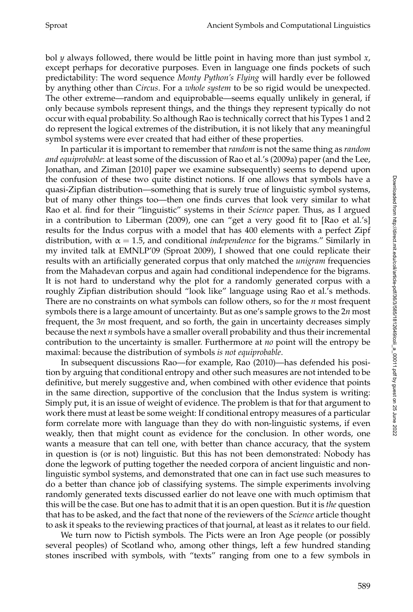bol *y* always followed, there would be little point in having more than just symbol *x*, except perhaps for decorative purposes. Even in language one finds pockets of such predictability: The word sequence *Monty Python's Flying* will hardly ever be followed by anything other than *Circus*. For a *whole system* to be so rigid would be unexpected. The other extreme—random and equiprobable—seems equally unlikely in general, if only because symbols represent things, and the things they represent typically do not occur with equal probability. So although Rao is technically correct that his Types 1 and 2 do represent the logical extremes of the distribution, it is not likely that any meaningful symbol systems were ever created that had either of these properties.

In particular it is important to remember that *random* is not the same thing as *random and equiprobable*: at least some of the discussion of Rao et al.'s (2009a) paper (and the Lee, Jonathan, and Ziman [2010] paper we examine subsequently) seems to depend upon the confusion of these two quite distinct notions. If one allows that symbols have a quasi-Zipfian distribution—something that is surely true of linguistic symbol systems, but of many other things too—then one finds curves that look very similar to what Rao et al. find for their "linguistic" systems in their *Science* paper. Thus, as I argued in a contribution to Liberman (2009), one can "get a very good fit to [Rao et al.'s] results for the Indus corpus with a model that has 400 elements with a perfect Zipf distribution, with  $\alpha = 1.5$ , and conditional *independence* for the bigrams." Similarly in my invited talk at EMNLP'09 (Sproat 2009), I showed that one could replicate their results with an artificially generated corpus that only matched the *unigram* frequencies from the Mahadevan corpus and again had conditional independence for the bigrams. It is not hard to understand why the plot for a randomly generated corpus with a roughly Zipfian distribution should "look like" language using Rao et al.'s methods. There are no constraints on what symbols can follow others, so for the *n* most frequent symbols there is a large amount of uncertainty. But as one's sample grows to the 2*n* most frequent, the 3*n* most frequent, and so forth, the gain in uncertainty decreases simply because the next *n* symbols have a smaller overall probability and thus their incremental contribution to the uncertainty is smaller. Furthermore at *no* point will the entropy be maximal: because the distribution of symbols *is not equiprobable*.

In subsequent discussions Rao—for example, Rao (2010)—has defended his position by arguing that conditional entropy and other such measures are not intended to be definitive, but merely suggestive and, when combined with other evidence that points in the same direction, supportive of the conclusion that the Indus system is writing: Simply put, it is an issue of weight of evidence. The problem is that for that argument to work there must at least be some weight: If conditional entropy measures of a particular form correlate more with language than they do with non-linguistic systems, if even weakly, then that might count as evidence for the conclusion. In other words, one wants a measure that can tell one, with better than chance accuracy, that the system in question is (or is not) linguistic. But this has not been demonstrated: Nobody has done the legwork of putting together the needed corpora of ancient linguistic and nonlinguistic symbol systems, and demonstrated that one can in fact use such measures to do a better than chance job of classifying systems. The simple experiments involving randomly generated texts discussed earlier do not leave one with much optimism that this will be the case. But one has to admit that it is an open question. But it is *the* question that has to be asked, and the fact that none of the reviewers of the *Science* article thought to ask it speaks to the reviewing practices of that journal, at least as it relates to our field.

We turn now to Pictish symbols. The Picts were an Iron Age people (or possibly several peoples) of Scotland who, among other things, left a few hundred standing stones inscribed with symbols, with "texts" ranging from one to a few symbols in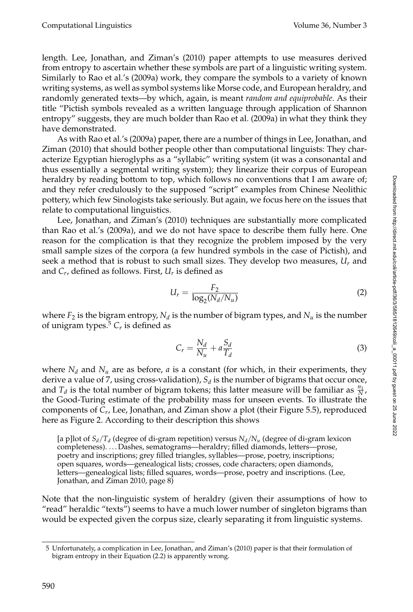length. Lee, Jonathan, and Ziman's (2010) paper attempts to use measures derived from entropy to ascertain whether these symbols are part of a linguistic writing system. Similarly to Rao et al.'s (2009a) work, they compare the symbols to a variety of known writing systems, as well as symbol systems like Morse code, and European heraldry, and randomly generated texts—by which, again, is meant *random and equiprobable*. As their title "Pictish symbols revealed as a written language through application of Shannon entropy" suggests, they are much bolder than Rao et al. (2009a) in what they think they have demonstrated.

As with Rao et al.'s (2009a) paper, there are a number of things in Lee, Jonathan, and Ziman (2010) that should bother people other than computational linguists: They characterize Egyptian hieroglyphs as a "syllabic" writing system (it was a consonantal and thus essentially a segmental writing system); they linearize their corpus of European heraldry by reading bottom to top, which follows no conventions that I am aware of; and they refer credulously to the supposed "script" examples from Chinese Neolithic pottery, which few Sinologists take seriously. But again, we focus here on the issues that relate to computational linguistics.

Lee, Jonathan, and Ziman's (2010) techniques are substantially more complicated than Rao et al.'s (2009a), and we do not have space to describe them fully here. One reason for the complication is that they recognize the problem imposed by the very small sample sizes of the corpora (a few hundred symbols in the case of Pictish), and seek a method that is robust to such small sizes. They develop two measures, *Ur* and and *Cr*, defined as follows. First, *Ur* is defined as

$$
U_r = \frac{F_2}{\log_2(N_d/N_u)}\tag{2}
$$

where  $F_2$  is the bigram entropy,  $N_d$  is the number of bigram types, and  $N_u$  is the number of unigram types.<sup>5</sup>  $C_r$  is defined as

$$
C_r = \frac{N_d}{N_u} + a\frac{S_d}{T_d} \tag{3}
$$

where  $N_d$  and  $N_u$  are as before, *a* is a constant (for which, in their experiments, they derive a value of 7, using cross-validation),  $S_d$  is the number of bigrams that occur once, and  $T_d$  is the total number of bigram tokens; this latter measure will be familiar as  $\frac{n_1}{N}$ , the Good-Turing estimate of the probability mass for unseen events. To illustrate the components of *Cr*, Lee, Jonathan, and Ziman show a plot (their Figure 5.5), reproduced here as Figure 2. According to their description this shows

[a p]lot of  $S_d/T_d$  (degree of di-gram repetition) versus  $N_d/N_u$  (degree of di-gram lexicon completeness). . . . Dashes, sematograms—heraldry; filled diamonds, letters—prose, poetry and inscriptions; grey filled triangles, syllables—prose, poetry, inscriptions; open squares, words—genealogical lists; crosses, code characters; open diamonds, letters—genealogical lists; filled squares, words—prose, poetry and inscriptions. (Lee, Jonathan, and Ziman 2010, page 8)

Note that the non-linguistic system of heraldry (given their assumptions of how to "read" heraldic "texts") seems to have a much lower number of singleton bigrams than would be expected given the corpus size, clearly separating it from linguistic systems.

<sup>5</sup> Unfortunately, a complication in Lee, Jonathan, and Ziman's (2010) paper is that their formulation of bigram entropy in their Equation (2.2) is apparently wrong.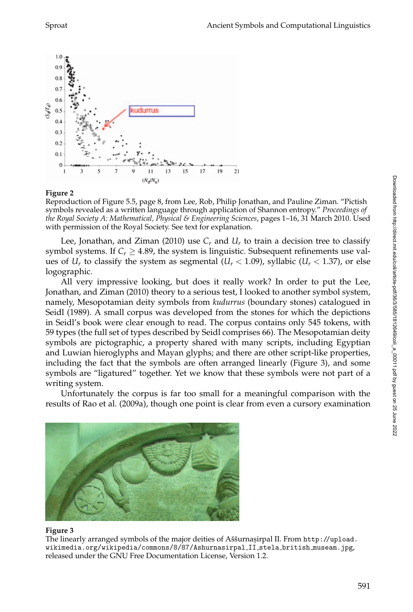

#### **Figure 2**

Reproduction of Figure 5.5, page 8, from Lee, Rob, Philip Jonathan, and Pauline Ziman. "Pictish symbols revealed as a written language through application of Shannon entropy." *Proceedings of the Royal Society A: Mathematical, Physical & Engineering Sciences*, pages 1–16, 31 March 2010. Used with permission of the Royal Society. See text for explanation.

Lee, Jonathan, and Ziman (2010) use  $C_r$  and  $U_r$  to train a decision tree to classify symbol systems. If  $C_r \geq 4.89$ , the system is linguistic. Subsequent refinements use values of  $U_r$  to classify the system as segmental  $(U_r < 1.09)$ , syllabic  $(U_r < 1.37)$ , or else logographic.

All very impressive looking, but does it really work? In order to put the Lee, Jonathan, and Ziman (2010) theory to a serious test, I looked to another symbol system, namely, Mesopotamian deity symbols from *kudurrus* (boundary stones) catalogued in Seidl (1989). A small corpus was developed from the stones for which the depictions in Seidl's book were clear enough to read. The corpus contains only 545 tokens, with 59 types (the full set of types described by Seidl comprises 66). The Mesopotamian deity symbols are pictographic, a property shared with many scripts, including Egyptian and Luwian hieroglyphs and Mayan glyphs; and there are other script-like properties, including the fact that the symbols are often arranged linearly (Figure 3), and some symbols are "ligatured" together. Yet we know that these symbols were not part of a writing system.

Unfortunately the corpus is far too small for a meaningful comparison with the results of Rao et al. (2009a), though one point is clear from even a cursory examination



#### **Figure 3**

The linearly arranged symbols of the major deities of Aššurnasirpal II. From http://upload. wikimedia.org/wikipedia/commons/8/87/Ashurnasirpal\_II\_stela\_british\_museam.jpg, released under the GNU Free Documentation License, Version 1.2.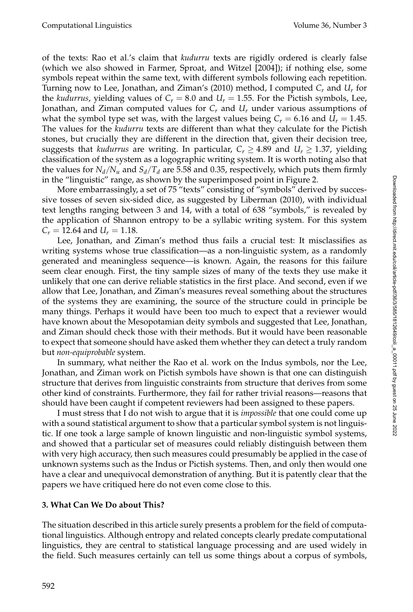of the texts: Rao et al.'s claim that *kudurru* texts are rigidly ordered is clearly false (which we also showed in Farmer, Sproat, and Witzel [2004]); if nothing else, some symbols repeat within the same text, with different symbols following each repetition. Turning now to Lee, Jonathan, and Ziman's (2010) method, I computed *Cr* and *Ur* for the *kudurrus*, yielding values of  $C_r = 8.0$  and  $U_r = 1.55$ . For the Pictish symbols, Lee, Jonathan, and Ziman computed values for *Cr* and *Ur* under various assumptions of what the symbol type set was, with the largest values being  $C_r = 6.16$  and  $U_r = 1.45$ . The values for the *kudurru* texts are different than what they calculate for the Pictish stones, but crucially they are different in the direction that, given their decision tree, suggests that *kudurrus* are writing. In particular,  $C_r \geq 4.89$  and  $U_r \geq 1.37$ , yielding classification of the system as a logographic writing system. It is worth noting also that the values for  $N_d/N_u$  and  $S_d/T_d$  are 5.58 and 0.35, respectively, which puts them firmly in the "linguistic" range, as shown by the superimposed point in Figure 2.

More embarrassingly, a set of 75 "texts" consisting of "symbols" derived by successive tosses of seven six-sided dice, as suggested by Liberman (2010), with individual text lengths ranging between 3 and 14, with a total of 638 "symbols," is revealed by the application of Shannon entropy to be a syllabic writing system. For this system  $C_r = 12.64$  and  $U_r = 1.18$ .

Lee, Jonathan, and Ziman's method thus fails a crucial test: It misclassifies as writing systems whose true classification—as a non-linguistic system, as a randomly generated and meaningless sequence—is known. Again, the reasons for this failure seem clear enough. First, the tiny sample sizes of many of the texts they use make it unlikely that one can derive reliable statistics in the first place. And second, even if we allow that Lee, Jonathan, and Ziman's measures reveal something about the structures of the systems they are examining, the source of the structure could in principle be many things. Perhaps it would have been too much to expect that a reviewer would have known about the Mesopotamian deity symbols and suggested that Lee, Jonathan, and Ziman should check those with their methods. But it would have been reasonable to expect that someone should have asked them whether they can detect a truly random but *non-equiprobable* system.

In summary, what neither the Rao et al. work on the Indus symbols, nor the Lee, Jonathan, and Ziman work on Pictish symbols have shown is that one can distinguish structure that derives from linguistic constraints from structure that derives from some other kind of constraints. Furthermore, they fail for rather trivial reasons—reasons that should have been caught if competent reviewers had been assigned to these papers.

I must stress that I do not wish to argue that it is *impossible* that one could come up with a sound statistical argument to show that a particular symbol system is not linguistic. If one took a large sample of known linguistic and non-linguistic symbol systems, and showed that a particular set of measures could reliably distinguish between them with very high accuracy, then such measures could presumably be applied in the case of unknown systems such as the Indus or Pictish systems. Then, and only then would one have a clear and unequivocal demonstration of anything. But it is patently clear that the papers we have critiqued here do not even come close to this.

## **3. What Can We Do about This?**

The situation described in this article surely presents a problem for the field of computational linguistics. Although entropy and related concepts clearly predate computational linguistics, they are central to statistical language processing and are used widely in the field. Such measures certainly can tell us some things about a corpus of symbols,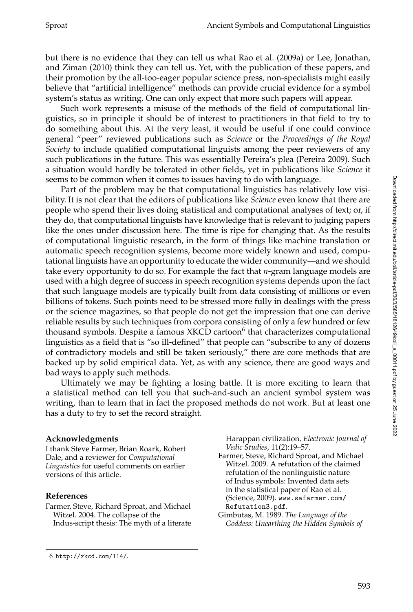but there is no evidence that they can tell us what Rao et al. (2009a) or Lee, Jonathan, and Ziman (2010) think they can tell us. Yet, with the publication of these papers, and their promotion by the all-too-eager popular science press, non-specialists might easily believe that "artificial intelligence" methods can provide crucial evidence for a symbol system's status as writing. One can only expect that more such papers will appear.

Such work represents a misuse of the methods of the field of computational linguistics, so in principle it should be of interest to practitioners in that field to try to do something about this. At the very least, it would be useful if one could convince general "peer" reviewed publications such as *Science* or the *Proceedings of the Royal Society* to include qualified computational linguists among the peer reviewers of any such publications in the future. This was essentially Pereira's plea (Pereira 2009). Such a situation would hardly be tolerated in other fields, yet in publications like *Science* it seems to be common when it comes to issues having to do with language.

Part of the problem may be that computational linguistics has relatively low visibility. It is not clear that the editors of publications like *Science* even know that there are people who spend their lives doing statistical and computational analyses of text; or, if they do, that computational linguists have knowledge that is relevant to judging papers like the ones under discussion here. The time is ripe for changing that. As the results of computational linguistic research, in the form of things like machine translation or automatic speech recognition systems, become more widely known and used, computational linguists have an opportunity to educate the wider community—and we should take every opportunity to do so. For example the fact that *n*-gram language models are used with a high degree of success in speech recognition systems depends upon the fact that such language models are typically built from data consisting of millions or even billions of tokens. Such points need to be stressed more fully in dealings with the press or the science magazines, so that people do not get the impression that one can derive reliable results by such techniques from corpora consisting of only a few hundred or few thousand symbols. Despite a famous XKCD cartoon<sup>6</sup> that characterizes computational linguistics as a field that is "so ill-defined" that people can "subscribe to any of dozens of contradictory models and still be taken seriously," there are core methods that are backed up by solid empirical data. Yet, as with any science, there are good ways and bad ways to apply such methods.

Ultimately we may be fighting a losing battle. It is more exciting to learn that a statistical method can tell you that such-and-such an ancient symbol system was writing, than to learn that in fact the proposed methods do not work. But at least one has a duty to try to set the record straight.

## **Acknowledgments**

I thank Steve Farmer, Brian Roark, Robert Dale, and a reviewer for *Computational Linguistics* for useful comments on earlier versions of this article.

## **References**

Farmer, Steve, Richard Sproat, and Michael Witzel. 2004. The collapse of the Indus-script thesis: The myth of a literate Harappan civilization. *Electronic Journal of Vedic Studies*, 11(2):19–57.

- Farmer, Steve, Richard Sproat, and Michael Witzel. 2009. A refutation of the claimed refutation of the nonlinguistic nature of Indus symbols: Invented data sets in the statistical paper of Rao et al. (Science, 2009). www.safarmer.com/ Refutation3.pdf.
- Gimbutas, M. 1989. *The Language of the Goddess: Unearthing the Hidden Symbols of*

<sup>6</sup> http://xkcd.com/114/.